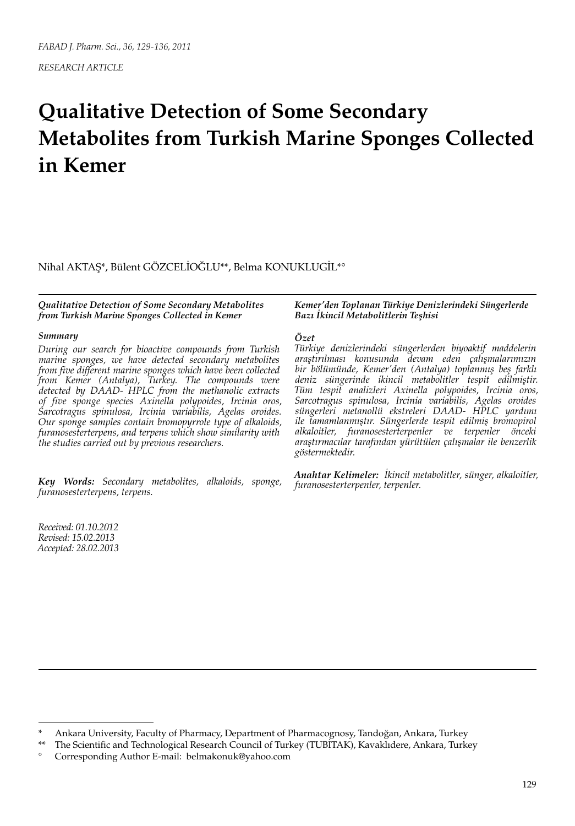# **Qualitative Detection of Some Secondary Metabolites from Turkish Marine Sponges Collected in Kemer**

Nihal AKTAŞ\*, Bülent GÖZCELİOĞLU\*\*, Belma KONUKLUGİL\*°

*Qualitative Detection of Some Secondary Metabolites from Turkish Marine Sponges Collected in Kemer*

#### *Summary*

*During our search for bioactive compounds from Turkish marine sponges, we have detected secondary metabolites from five different marine sponges which have been collected from Kemer (Antalya), Turkey. The compounds were detected by DAAD- HPLC from the methanolic extracts of five sponge species Axinella polypoides, Ircinia oros, Sarcotragus spinulosa, Ircinia variabilis, Agelas oroides. Our sponge samples contain bromopyrrole type of alkaloids, furanosesterterpens, and terpens which show similarity with the studies carried out by previous researchers.*

*Key Words: Secondary metabolites, alkaloids, sponge, furanosesterterpens, terpens.*

*Received: 01.10.2012 Revised: 15.02.2013 Accepted: 28.02.2013* *Kemer'den Toplanan Türkiye Denizlerindeki Süngerlerde Bazı İkincil Metabolitlerin Teşhisi* 

#### *Özet*

*Türkiye denizlerindeki süngerlerden biyoaktif maddelerin araştırılması konusunda devam eden çalışmalarımızın bir bölümünde, Kemer'den (Antalya) toplanmış beş farklı deniz süngerinde ikincil metabolitler tespit edilmiştir. Tüm tespit analizleri Axinella polypoides, Ircinia oros, Sarcotragus spinulosa, Ircinia variabilis, Agelas oroides süngerleri metanollü ekstreleri DAAD- HPLC yardımı ile tamamlanmıştır. Süngerlerde tespit edilmiş bromopirol alkaloitler, furanosesterterpenler ve terpenler önceki araştırmacılar tarafından yürütülen çalışmalar ile benzerlik göstermektedir.*

*Anahtar Kelimeler: İkincil metabolitler, sünger, alkaloitler, furanosesterterpenler, terpenler.*

<sup>\*</sup> Ankara University, Faculty of Pharmacy, Department of Pharmacognosy, Tandoğan, Ankara, Turkey

<sup>\*\*</sup> The Scientific and Technological Research Council of Turkey (TUBİTAK), Kavaklıdere, Ankara, Turkey

<sup>°</sup> Corresponding Author E-mail: belmakonuk@yahoo.com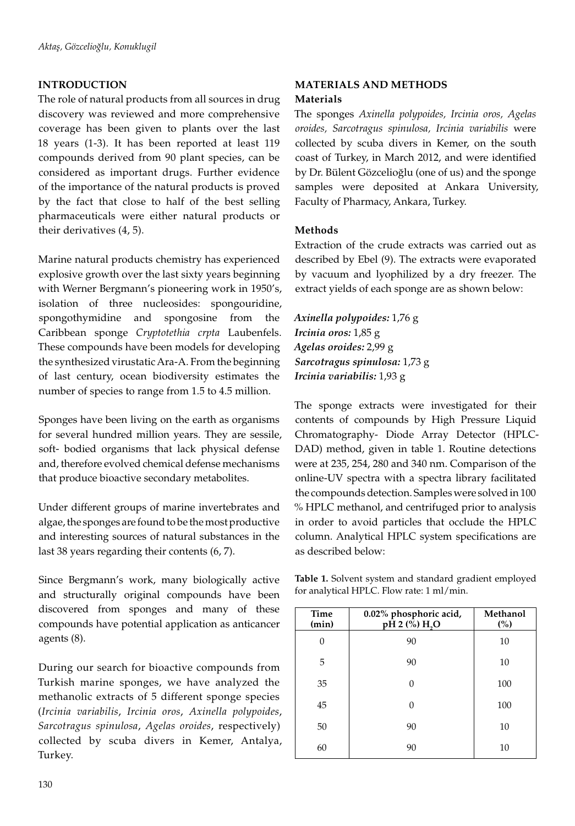## **INTRODUCTION**

The role of natural products from all sources in drug discovery was reviewed and more comprehensive coverage has been given to plants over the last 18 years (1-3). It has been reported at least 119 compounds derived from 90 plant species, can be considered as important drugs. Further evidence of the importance of the natural products is proved by the fact that close to half of the best selling pharmaceuticals were either natural products or their derivatives (4, 5).

Marine natural products chemistry has experienced explosive growth over the last sixty years beginning with Werner Bergmann's pioneering work in 1950's, isolation of three nucleosides: spongouridine, spongothymidine and spongosine from the Caribbean sponge *Cryptotethia crpta* Laubenfels. These compounds have been models for developing the synthesized virustatic Ara-A. From the beginning of last century, ocean biodiversity estimates the number of species to range from 1.5 to 4.5 million.

Sponges have been living on the earth as organisms for several hundred million years. They are sessile, soft- bodied organisms that lack physical defense and, therefore evolved chemical defense mechanisms that produce bioactive secondary metabolites.

Under different groups of marine invertebrates and algae, the sponges are found to be the most productive and interesting sources of natural substances in the last 38 years regarding their contents (6, 7).

Since Bergmann's work, many biologically active and structurally original compounds have been discovered from sponges and many of these compounds have potential application as anticancer agents (8).

During our search for bioactive compounds from Turkish marine sponges, we have analyzed the methanolic extracts of 5 different sponge species (*Ircinia variabilis*, *Ircinia oros*, *Axinella polypoides*, *Sarcotragus spinulosa*, *Agelas oroides*, respectively) collected by scuba divers in Kemer, Antalya, Turkey.

## **MATERIALS AND METHODS Materials**

The sponges *Axinella polypoides, Ircinia oros, Agelas oroides, Sarcotragus spinulosa, Ircinia variabilis* were collected by scuba divers in Kemer, on the south coast of Turkey, in March 2012, and were identified by Dr. Bülent Gözcelioğlu (one of us) and the sponge samples were deposited at Ankara University, Faculty of Pharmacy, Ankara, Turkey.

## **Methods**

Extraction of the crude extracts was carried out as described by Ebel (9). The extracts were evaporated by vacuum and lyophilized by a dry freezer. The extract yields of each sponge are as shown below:

*Axinella polypoides:* 1,76 g *Ircinia oros:* 1,85 g *Agelas oroides:* 2,99 g *Sarcotragus spinulosa:* 1,73 g *Ircinia variabilis:* 1,93 g

The sponge extracts were investigated for their contents of compounds by High Pressure Liquid Chromatography- Diode Array Detector (HPLC-DAD) method, given in table 1. Routine detections were at 235, 254, 280 and 340 nm. Comparison of the online-UV spectra with a spectra library facilitated the compounds detection. Samples were solved in 100 % HPLC methanol, and centrifuged prior to analysis in order to avoid particles that occlude the HPLC column. Analytical HPLC system specifications are as described below:

| Table 1. Solvent system and standard gradient employed |
|--------------------------------------------------------|
| for analytical HPLC. Flow rate: 1 ml/min.              |

| Time<br>(min) | 0.02% phosphoric acid,<br>pH 2 (%) H <sub>2</sub> O | Methanol<br>(%) |
|---------------|-----------------------------------------------------|-----------------|
| 0             | 90                                                  | 10              |
| 5             | 90                                                  | 10              |
| 35            | O                                                   | 100             |
| 45            | 0                                                   | 100             |
| 50            | 90                                                  | 10              |
| 60            | 90                                                  | 10              |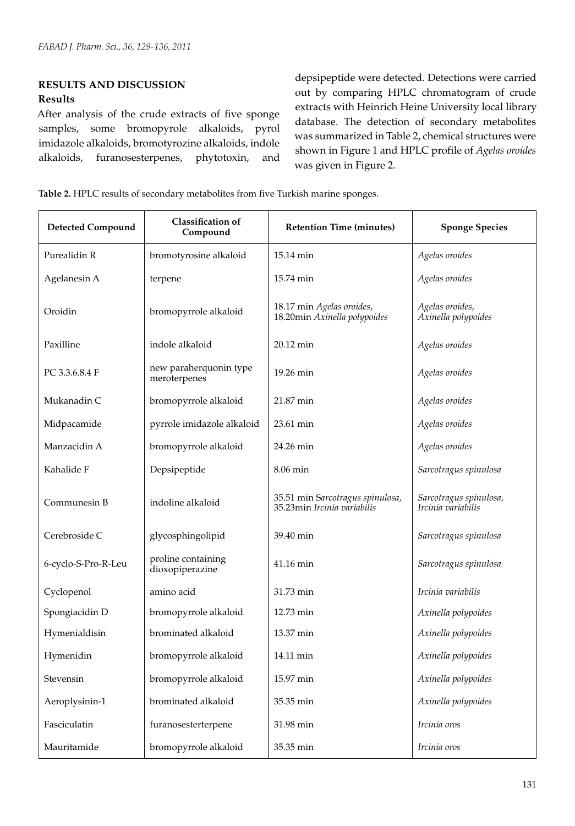### **RESULTS AND DISCUSSION Results**

After analysis of the crude extracts of five sponge samples, some bromopyrole alkaloids, pyrol imidazole alkaloids, bromotyrozine alkaloids, indole alkaloids, furanosesterpenes, phytotoxin, and

depsipeptide were detected. Detections were carried out by comparing HPLC chromatogram of crude extracts with Heinrich Heine University local library database. The detection of secondary metabolites was summarized in Table 2, chemical structures were shown in Figure 1 and HPLC profile of *Agelas oroides* was given in Figure 2.

| Table 2. HPLC results of secondary metabolites from five Turkish marine sponges. |  |  |  |
|----------------------------------------------------------------------------------|--|--|--|
|----------------------------------------------------------------------------------|--|--|--|

| <b>Detected Compound</b> | Classification of<br>Compound          | <b>Retention Time (minutes)</b>                                 | <b>Sponge Species</b>                        |
|--------------------------|----------------------------------------|-----------------------------------------------------------------|----------------------------------------------|
| Purealidin R             | bromotyrosine alkaloid                 | 15.14 min                                                       | Agelas oroides                               |
| Agelanesin A             | terpene                                | 15.74 min                                                       | Agelas oroides                               |
| Oroidin                  | bromopyrrole alkaloid                  | 18.17 min Agelas oroides,<br>18.20min Axinella polypoides       | Agelas oroides,<br>Axinella polypoides       |
| Paxilline                | indole alkaloid                        | 20.12 min                                                       | Agelas oroides                               |
| PC 3.3.6.8.4 F           | new paraherquonin type<br>meroterpenes | 19.26 min                                                       | Agelas oroides                               |
| Mukanadin C              | bromopyrrole alkaloid                  | 21.87 min                                                       | Agelas oroides                               |
| Midpacamide              | pyrrole imidazole alkaloid             | 23.61 min                                                       | Agelas oroides                               |
| Manzacidin A             | bromopyrrole alkaloid                  | 24.26 min                                                       | Agelas oroides                               |
| Kahalide F               | Depsipeptide                           | 8.06 min                                                        | Sarcotragus spinulosa                        |
| Communesin B             | indoline alkaloid                      | 35.51 min Sarcotragus spinulosa,<br>35.23min Ircinia variabilis | Sarcotragus spinulosa,<br>Ircinia variabilis |
| Cerebroside C            | glycosphingolipid                      | 39.40 min                                                       | Sarcotragus spinulosa                        |
| 6-cyclo-S-Pro-R-Leu      | proline containing<br>dioxopiperazine  | 41.16 min                                                       | Sarcotragus spinulosa                        |
| Cyclopenol               | amino acid                             | 31.73 min                                                       | Ircinia variabilis                           |
| Spongiacidin D           | bromopyrrole alkaloid                  | 12.73 min                                                       | Axinella polypoides                          |
| Hymenialdisin            | brominated alkaloid                    | 13.37 min                                                       | Axinella polypoides                          |
| Hymenidin                | bromopyrrole alkaloid                  | 14.11 min                                                       | Axinella polypoides                          |
| Stevensin                | bromopyrrole alkaloid                  | 15.97 min                                                       | Axinella polypoides                          |
| Aeroplysinin-1           | brominated alkaloid                    | 35.35 min                                                       | Axinella polypoides                          |
| Fasciculatin             | furanosesterterpene                    | 31.98 min                                                       | Ircinia oros                                 |
| Mauritamide              | bromopyrrole alkaloid                  | 35.35 min                                                       | Ircinia oros                                 |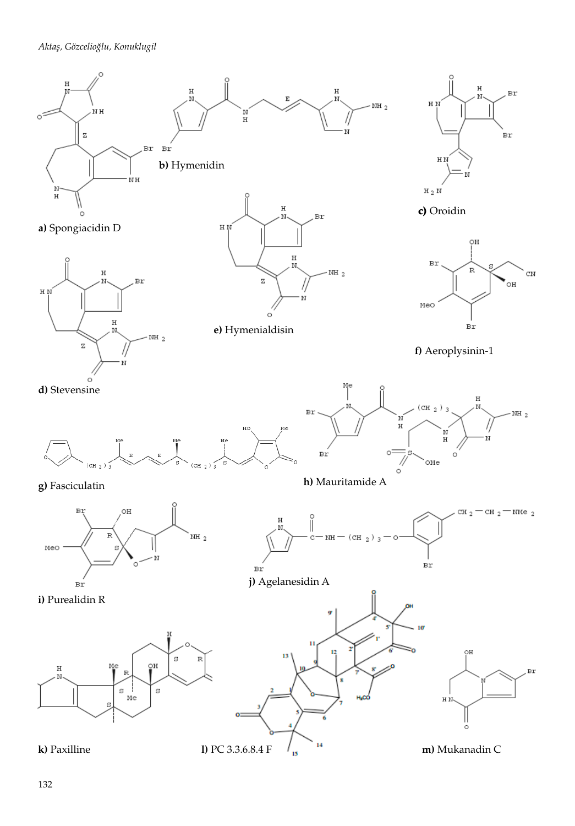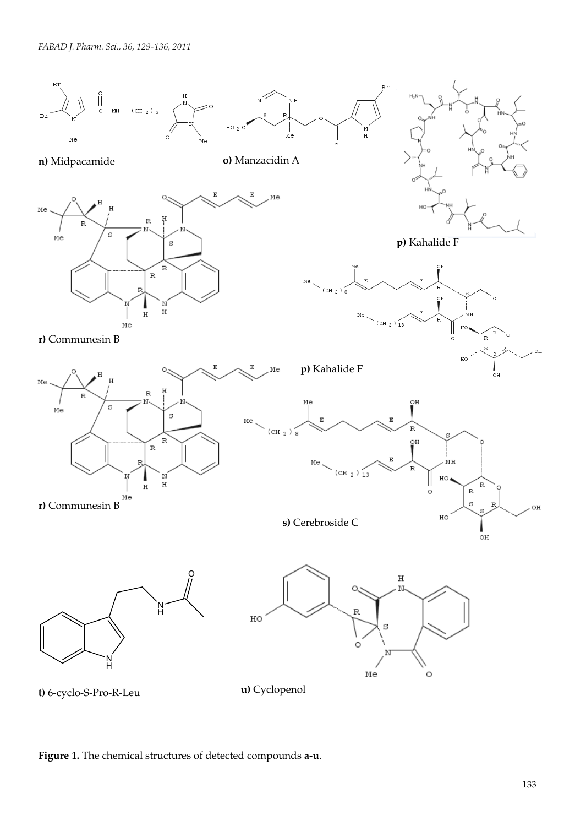

# **Figure 1.** The chemical structures of detected compounds **a-u**.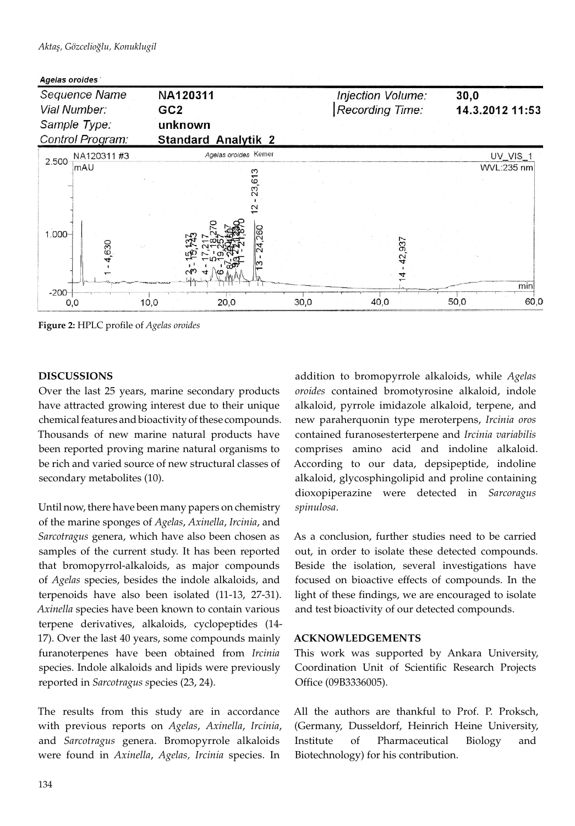

**Figure 2:** HPLC profile of *Agelas oroides*

### **DISCUSSIONS**

Over the last 25 years, marine secondary products have attracted growing interest due to their unique chemical features and bioactivity of these compounds. Thousands of new marine natural products have been reported proving marine natural organisms to be rich and varied source of new structural classes of secondary metabolites (10).

Until now, there have been many papers on chemistry of the marine sponges of *Agelas*, *Axinella*, *Ircinia*, and *Sarcotragus* genera, which have also been chosen as samples of the current study. It has been reported that bromopyrrol-alkaloids, as major compounds of *Agelas* species, besides the indole alkaloids, and terpenoids have also been isolated (11-13, 27-31). *Axinella* species have been known to contain various terpene derivatives, alkaloids, cyclopeptides (14- 17). Over the last 40 years, some compounds mainly furanoterpenes have been obtained from *Ircinia*  species. Indole alkaloids and lipids were previously reported in *Sarcotragus s*pecies (23, 24).

The results from this study are in accordance with previous reports on *Agelas*, *Axinella*, *Ircinia*, and *Sarcotragus* genera. Bromopyrrole alkaloids were found in *Axinella*, *Agelas, Ircinia* species. In

addition to bromopyrrole alkaloids, while *Agelas oroides* contained bromotyrosine alkaloid, indole alkaloid, pyrrole imidazole alkaloid, terpene, and new paraherquonin type meroterpens, *Ircinia oros* contained furanosesterterpene and *Ircinia variabilis*  comprises amino acid and indoline alkaloid. According to our data, depsipeptide, indoline alkaloid, glycosphingolipid and proline containing dioxopiperazine were detected in *Sarcoragus spinulosa*.

As a conclusion, further studies need to be carried out, in order to isolate these detected compounds. Beside the isolation, several investigations have focused on bioactive effects of compounds. In the light of these findings, we are encouraged to isolate and test bioactivity of our detected compounds.

### **ACKNOWLEDGEMENTS**

This work was supported by Ankara University, Coordination Unit of Scientific Research Projects Office (09B3336005).

All the authors are thankful to Prof. P. Proksch, (Germany, Dusseldorf, Heinrich Heine University, Institute of Pharmaceutical Biology and Biotechnology) for his contribution.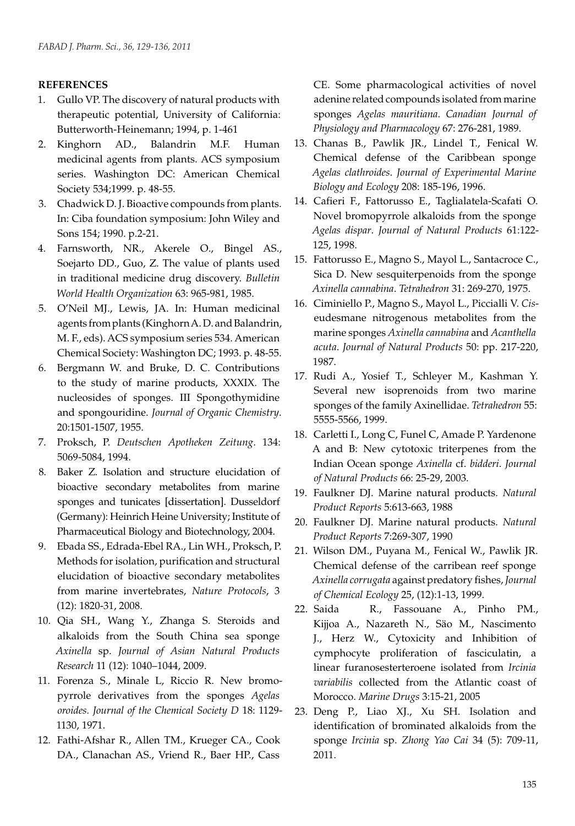#### **REFERENCES**

- 1. Gullo VP. The discovery of natural products with therapeutic potential, University of California: Butterworth-Heinemann; 1994, p. 1-461
- 2. Kinghorn AD., Balandrin M.F. Human medicinal agents from plants. ACS symposium series. Washington DC: American Chemical Society 534;1999. p. 48-55.
- 3. Chadwick D. J. Bioactive compounds from plants. In: Ciba foundation symposium: John Wiley and Sons 154; 1990. p.2-21.
- 4. Farnsworth, NR., Akerele O., Bingel AS., Soejarto DD., Guo, Z. The value of plants used in traditional medicine drug discovery. *Bulletin World Health Organization* 63: 965-981, 1985.
- 5. O'Neil MJ., Lewis, JA. In: Human medicinal agents from plants (Kinghorn A. D. and Balandrin, M. F., eds). ACS symposium series 534. American Chemical Society: Washington DC; 1993. p. 48-55.
- 6. Bergmann W. and Bruke, D. C*.* Contributions to the study of marine products, XXXIX. The nucleosides of sponges. III Spongothymidine and spongouridine. *Journal of Organic Chemistry*. 20:1501-1507, 1955.
- 7. Proksch, P. *Deutschen Apotheken Zeitung*. 134: 5069-5084, 1994.
- 8. Baker Z. Isolation and structure elucidation of bioactive secondary metabolites from marine sponges and tunicates [dissertation]. Dusseldorf (Germany): Heinrich Heine University; Institute of Pharmaceutical Biology and Biotechnology, 2004.
- 9. Ebada SS., Edrada-Ebel RA., Lin WH., Proksch, P. Methods for isolation, purification and structural elucidation of bioactive secondary metabolites from marine invertebrates, *Nature Protocols*, 3 (12): 1820-31, 2008.
- 10. Qia SH., Wang Y., Zhanga S. Steroids and alkaloids from the South China sea sponge *Axinella* sp. *Journal of Asian Natural Products Research* 11 (12): 1040–1044, 2009.
- 11. Forenza S., Minale L, Riccio R. New bromopyrrole derivatives from the sponges *Agelas oroides. Journal of the Chemical Society D* 18: 1129- 1130, 1971.
- 12. Fathi-Afshar R., Allen TM., Krueger CA., Cook DA., Clanachan AS., Vriend R., Baer HP., Cass

CE. Some pharmacological activities of novel adenine related compounds isolated from marine sponges *Agelas mauritiana*. *Canadian Journal of Physiology and Pharmacology* 67: 276-281, 1989.

- 13. Chanas B., Pawlik JR., Lindel T., Fenical W. Chemical defense of the Caribbean sponge *Agelas clathroides*. *Journal of Experimental Marine Biology and Ecology* 208: 185-196, 1996.
- 14. Cafieri F., Fattorusso E., Taglialatela-Scafati O. Novel bromopyrrole alkaloids from the sponge *Agelas dispar*. *Journal of Natural Products* 61:122- 125, 1998.
- 15. Fattorusso E., Magno S., Mayol L., Santacroce C., Sica D. New sesquiterpenoids from the sponge *Axinella cannabina*. *Tetrahedron* 31: 269-270, 1975.
- 16. Ciminiello P., Magno S., Mayol L., Piccialli V. *Cis*eudesmane nitrogenous metabolites from the marine sponges *Axinella cannabina* and *Acanthella acuta*. *Journal of Natural Products* 50: pp. 217-220, 1987.
- 17. Rudi A., Yosief T., Schleyer M., Kashman Y. Several new isoprenoids from two marine sponges of the family Axinellidae. *Tetrahedron* 55: 5555-5566, 1999.
- 18. Carletti I., Long C, Funel C, Amade P. Yardenone A and B: New cytotoxic triterpenes from the Indian Ocean sponge *Axinella* cf. *bidderi*. *Journal of Natural Products* 66: 25-29, 2003.
- 19. Faulkner DJ. Marine natural products. *Natural Product Reports* 5:613-663, 1988
- 20. Faulkner DJ. Marine natural products. *Natural Product Reports* 7:269-307, 1990
- 21. Wilson DM., Puyana M., Fenical W., Pawlik JR. Chemical defense of the carribean reef sponge *Axinella corrugata* against predatory fishes, *Journal of Chemical Ecology* 25, (12):1-13, 1999.
- 22. Saida R., Fassouane A., Pinho PM., Kijjoa A., Nazareth N., Säo M., Nascimento J., Herz W., Cytoxicity and Inhibition of cymphocyte proliferation of fasciculatin, a linear furanosesterteroene isolated from *Ircinia variabilis* collected from the Atlantic coast of Morocco. *Marine Drugs* 3:15-21, 2005
- 23. Deng P., Liao XJ., Xu SH. Isolation and identification of brominated alkaloids from the sponge *Ircinia* sp. *Zhong Yao Cai* 34 (5): 709-11, 2011.